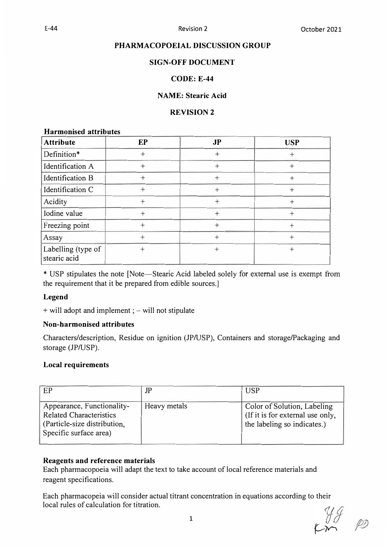# **PHARMACOPOEIAL DISCUSSION GROUP**

# **SIGN-OFF DOCUMENT**

# **CODE: E-44**

# **NAME: Stearic Acid**

# **REVISION 2**

## **Harmonised attributes**

| <b>Attribute</b>                   | EP     | J <sub>P</sub> | <b>USP</b> |
|------------------------------------|--------|----------------|------------|
| Definition*                        | $^{+}$ | $^{+}$         |            |
| Identification A                   | $^{+}$ | $^{+}$         |            |
| Identification B                   | $\, +$ | ┿              | $^{+}$     |
| Identification C                   | $^{+}$ | $^{+}$         | $+$        |
| Acidity                            | $^{+}$ | $^{+}$         | $^{+}$     |
| Iodine value                       | $^{+}$ | $^+$           | $^{+}$     |
| Freezing point                     |        | $^{+}$         | $^{+}$     |
| Assay                              | ┿      | $^{+}$         | $+$        |
| Labelling (type of<br>stearic acid | $^{+}$ | $^{+}$         | $^{+}$     |

\* USP stipulates the note [Note-Stearic Acid labeled solely for external use is exempt from the requirement that it be prepared from edible sources.]

## **Legend**

+ will adopt and implement ; – will not stipulate

## **Non-harmonised attributes**

Characters/description, Residue on ignition (JP/USP), Containers and storage/Packaging and storage (JP/USP).

# **Local requirements**

| EP                                                                                                                     | JP           | <b>USP</b>                                                                                     |
|------------------------------------------------------------------------------------------------------------------------|--------------|------------------------------------------------------------------------------------------------|
| Appearance, Functionality-<br><b>Related Characteristics</b><br>(Particle-size distribution,<br>Specific surface area) | Heavy metals | Color of Solution, Labeling<br>(If it is for external use only,<br>the labeling so indicates.) |

# **Reagents and reference materials**

Each pharmacopoeia will adapt the text to take account of local reference materials and reagent specifications.

Each pharmacopeia will consider actual titrant concentration in equations according to their local rules of calculation for titration.

 $\begin{matrix} y & \mathcal{G} \\ \mathcal{F} & \mathcal{P} \end{matrix}$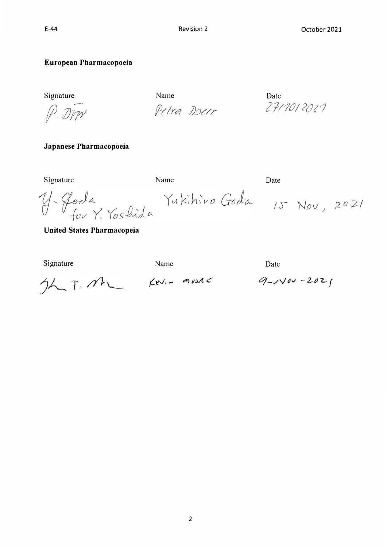Petra Doer

# **European Pharmacopoeia**

Signature Date Name Name Date

P. DM

**Japanese Pharmacopoeia** 

Signature Date Name Date

*Y*. Goda<br>*For Y. Yoshida* Yukihiro Goda 15 Nov, 2021

**United States Pharmacopeia** 

Name Date<br> $J\lambda$   $\overline{J}$ .  $M\lambda$   $K\lambda I \sim M\mu\lambda K$   $9-\lambda\sqrt{d\lambda}-2d\lambda I$ 

*21-/1rJ/ 2{)2'1*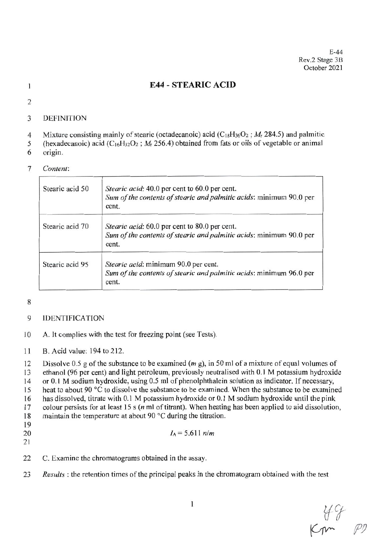# **E44 - STEARIC ACID**

 $\mathbf{1}$  $\overline{2}$ 

### 3 **DEFINITION**

- Mixture consisting mainly of stearic (octadecanoic) acid ( $C_{18}H_{36}O_2$ ;  $M_r$  284.5) and palmitic  $\overline{4}$
- (hexadecanoic) acid ( $C_{16}H_{32}O_2$ ;  $M_r$  256.4) obtained from fats or oils of vegetable or animal 5
- origin. 6

### $\overline{7}$ Content:

| Stearic acid 50 | Stearic acid: 40.0 per cent to 60.0 per cent.<br>Sum of the contents of stearic and palmitic acids: minimum 90.0 per<br>cent. |
|-----------------|-------------------------------------------------------------------------------------------------------------------------------|
| Stearic acid 70 | Stearic acid: 60.0 per cent to 80.0 per cent.<br>Sum of the contents of stearic and palmitic acids: minimum 90.0 per<br>cent. |
| Stearic acid 95 | Stearic acid: minimum 90.0 per cent.<br>Sum of the contents of stearic and palmitic acids: minimum 96.0 per<br>cent.          |

8

### 9 **IDENTIFICATION**

- A. It complies with the test for freezing point (see Tests). 10
- 11 B. Acid value: 194 to 212.

Dissolve 0.5 g of the substance to be examined  $(m g)$ , in 50 ml of a mixture of equal volumes of 12

ethanol (96 per cent) and light petroleum, previously neutralised with 0.1 M potassium hydroxide 13

or 0.1 M sodium hydroxide, using 0.5 ml of phenolphthalein solution as indicator. If necessary, 14

heat to about 90 °C to dissolve the substance to be examined. When the substance to be examined 15

has dissolved, titrate with 0.1 M potassium hydroxide or 0.1 M sodium hydroxide until the pink 16

colour persists for at least 15  $s$  ( $n$  ml of titrant). When heating has been applied to aid dissolution, 17

- maintain the temperature at about 90 °C during the titration. 18
- 19 20

 $I_A = 5.611$  n/m

- 21
- 22 C. Examine the chromatograms obtained in the assay.
- 23 Results: the retention times of the principal peaks in the chromatogram obtained with the test

 $\begin{matrix} 44 \\ P2 \end{matrix}$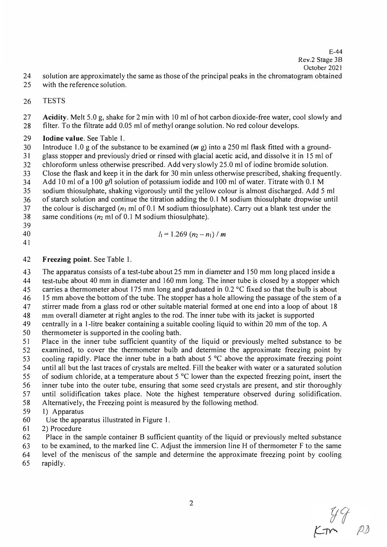E-44 Rev.2 Stage 3B

- 24 solution are approximately the same as those of the principal peaks in the chromatogram obtained
- 25 with the reference solution.
- 26 TESTS

27 **Acidity.** Melt 5.0 g, shake for 2 min with 10 ml of hot carbon dioxide-free water, cool slowly and 28 filter. To the filtrate add 0.05 ml of methyl orange solution. No red colour develops.

# 29 **Iodine value.** See Table 1.

30 Introduce 1.0 g of the substance to be examined *(m* g) into a 250 ml flask fitted with a ground-31 glass stopper and previously dried or rinsed with glacial acetic acid, and dissolve it in 15 ml of

32 chloroform unless otherwise prescribed. Add very slowly 25.0 ml of iodine bromide solution.

33 Close the flask and keep it in the dark for 30 min unless otherwise prescribed, shaking frequently. 34 Add 10 ml of a 100 g/1 solution of potassium iodide and 100 ml of water. Titrate with 0.1 M

35 sodium thiosulphate, shaking vigorously until the yellow colour is almost discharged. Add 5 ml

36 of starch solution and continue the titration adding the 0.1 M sodium thiosulphate dropwise until

37 the colour is discharged ( $n_1$  ml of 0.1 M sodium thiosulphate). Carry out a blank test under the

38 same conditions  $(n_2 \text{ ml of } 0.1 \text{ M sodium thiosulphate}).$ 

39

41

40  $I_1 = 1.269 (n_2 - n_1) / m$ 

# 42 **Freezing point.** See Table 1.

43 The apparatus consists of a test-tube about 25 mm in diameter and 150 mm long placed inside a

44 test-tube about 40 mm in diameter and 160 mm long. The inner tube is closed by a stopper which

45 carries a thermometer about 175 mm long and graduated in 0.2 °C fixed so that the bulb is about

46 15 mm above the bottom of the tube. The stopper has a hole allowing the passage of the stem of a 47 stirrer made from a glass rod or other suitable material formed at one end into a loop of about 18

48 mm overall diameter at right angles to the rod. The inner tube with its jacket is supported

49 centrally in a I-litre beaker containing a suitable cooling liquid to within 20 mm of the top. A

50 thermometer is supported in the cooling bath.

51 Place in the inner tube sufficient quantity of the liquid or previously melted substance to be 52 examined, to cover the thermometer bulb and determine the approximate freezing point by 53 cooling rapidly. Place the inner tube in a bath about 5 °C above the approximate freezing point 54 until all but the last traces of crystals are melted. Fill the beaker with water or a saturated solution

55 of sodium chloride, at a temperature about 5 °C lower than the expected freezing point, insert the

56 inner tube into the outer tube, ensuring that some seed crystals are present, and stir thoroughly

57 until solidification takes place. Note the highest temperature observed during solidification.

58 Alternatively, the Freezing point is measured by the following method.

59 1) Apparatus

- 60 Use the apparatus illustrated in Figure 1.
- 61 2) Procedure

62 Place in the sample container B sufficient quantity of the liquid or previously melted substance

63 to be examined, to the marked line C. Adjust the immersion line H of thermometer F to the same

64 level of the meniscus of the sample and determine the approximate freezing point by cooling

65 rapidly.

 $277$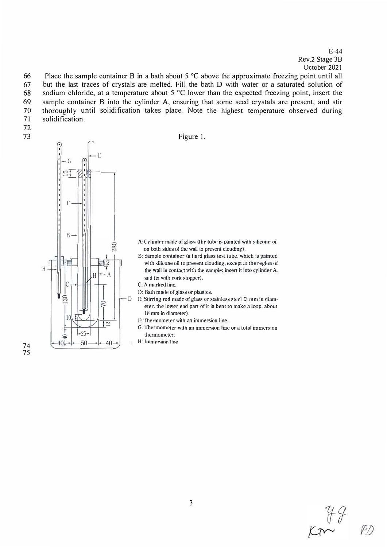E-44 Rev.2 Stage 3B October 2021

66 Place the sample container B in a bath about  $5^{\circ}$ C above the approximate freezing point until all 67 but the last traces of crystals are melted. Fill the bath D with water or a saturated solution of but the last traces of crystals are melted. Fill the bath D with water or a saturated solution of 68 sodium chloride, at a temperature about 5 °C lower than the expected freezing point, insert the 69 sample container B into the cylinder A, ensuring that some seed crystals are present, and stir 70 thoroughly until solidification takes place. Note the highest temperature observed during 71 solidification.

- 72
- 

73 Figure 1. E  $\vert -G \vert$  $\frac{1}{2}$ l: |<br>|<br>|<br>|<br>| F B-I 280 H  $\Delta$ C  $\circ$  $101$ -25- ≘  $50 \rightarrow -40$  $40+$ 

- A: Cylinder made of glass (the tube is painted with silicone oil on both sides of the wall to prevent clouding).
- B: Sample container (a bard glass test tube, which is painted with silicone oil to prevent clouding, except at the region of the wall in contact with the sample; insert it into cylinder A, and fix with cork stopper).
- C: A marked line.
- I): Bath made of glass or plastics.
- D E: Stirring rod made of glass or stainless steel (3 mm in diameter. the lower end part of it is bent to make a loop. about 18 mm in diameter).
	- F: Thermometer with an immersion line.
	- G: Thermometer with an immersion line or a total immersion thennometer.
	- H: Immersion line

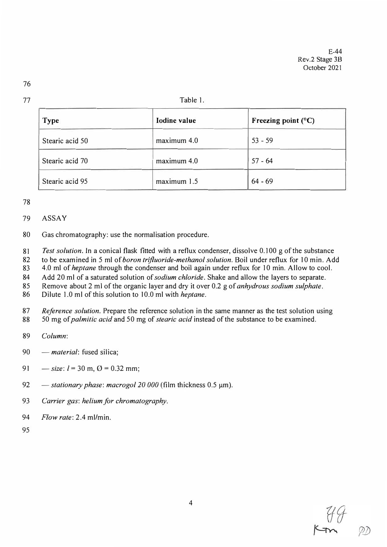### Table 1.

| <b>Type</b>     | Iodine value | Freezing point $(^{\circ}C)$ |
|-----------------|--------------|------------------------------|
| Stearic acid 50 | maximum 4.0  | $53 - 59$                    |
| Stearic acid 70 | maximum 4.0  | $57 - 64$                    |
| Stearic acid 95 | maximum 1.5  | $64 - 69$                    |

78

## 79 ASSAY

80 Gas chromatography: use the normalisation procedure.

81 *Test solution.* In a conical flask fitted with a reflux condenser, dissolve 0.100 g of the substance

82 to be examined in 5 ml of *boron trifluoride-methanol solution.* Boil under reflux for 10 min. Add

83 4.0 ml of *heptane* through the condenser and boil again under reflux for 10 min. Allow to cool.

84 Add 20 ml of a saturated solution of *sodium chloride.* Shake and allow the layers to separate.

85 Remove about 2 ml of the organic layer and dry it over 0.2 g of *anhydrous sodium sulphate.* 

86 Dilute 1.0 ml of this solution to 10.0 ml with *heptane.* 

87 *Reference solution.* Prepare the reference solution in the same manner as the test solution using 88 50 mg of *palmitic acid* and 50 mg of *stearic acid* instead of the substance to be examined.

- 89 *Column:*
- 90 *material*: fused silica;
- 91  $-$  *size*:  $l = 30$  m,  $\Omega = 0.32$  mm;
- 92 *stationary phase: macrogol 20 000* (film thickness 0.5 μm).
- 93 *Carrier gas: helium for chromatography.*
- 94 *Flow rate:* 2.4 ml/min.
- 95